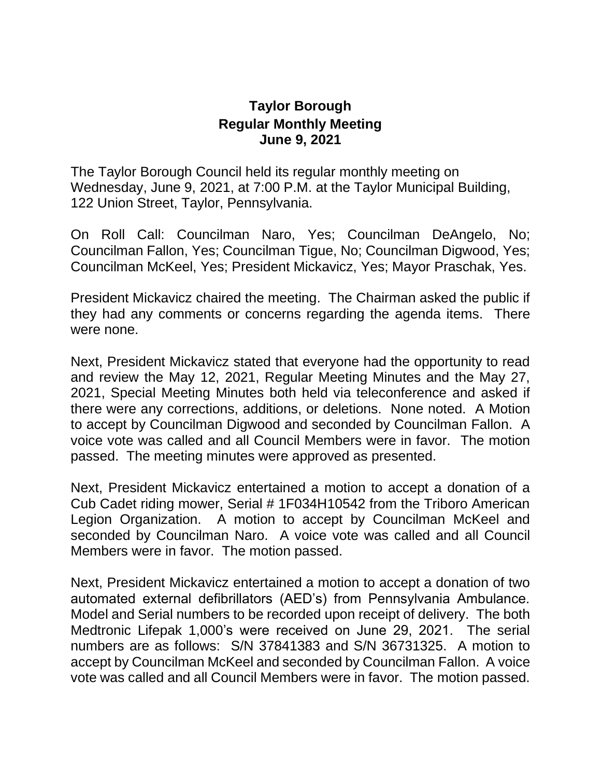## **Taylor Borough Regular Monthly Meeting June 9, 2021**

The Taylor Borough Council held its regular monthly meeting on Wednesday, June 9, 2021, at 7:00 P.M. at the Taylor Municipal Building, 122 Union Street, Taylor, Pennsylvania.

On Roll Call: Councilman Naro, Yes; Councilman DeAngelo, No; Councilman Fallon, Yes; Councilman Tigue, No; Councilman Digwood, Yes; Councilman McKeel, Yes; President Mickavicz, Yes; Mayor Praschak, Yes.

President Mickavicz chaired the meeting. The Chairman asked the public if they had any comments or concerns regarding the agenda items. There were none.

Next, President Mickavicz stated that everyone had the opportunity to read and review the May 12, 2021, Regular Meeting Minutes and the May 27, 2021, Special Meeting Minutes both held via teleconference and asked if there were any corrections, additions, or deletions. None noted. A Motion to accept by Councilman Digwood and seconded by Councilman Fallon. A voice vote was called and all Council Members were in favor. The motion passed. The meeting minutes were approved as presented.

Next, President Mickavicz entertained a motion to accept a donation of a Cub Cadet riding mower, Serial # 1F034H10542 from the Triboro American Legion Organization. A motion to accept by Councilman McKeel and seconded by Councilman Naro. A voice vote was called and all Council Members were in favor. The motion passed.

Next, President Mickavicz entertained a motion to accept a donation of two automated external defibrillators (AED's) from Pennsylvania Ambulance. Model and Serial numbers to be recorded upon receipt of delivery. The both Medtronic Lifepak 1,000's were received on June 29, 2021. The serial numbers are as follows: S/N 37841383 and S/N 36731325. A motion to accept by Councilman McKeel and seconded by Councilman Fallon. A voice vote was called and all Council Members were in favor. The motion passed.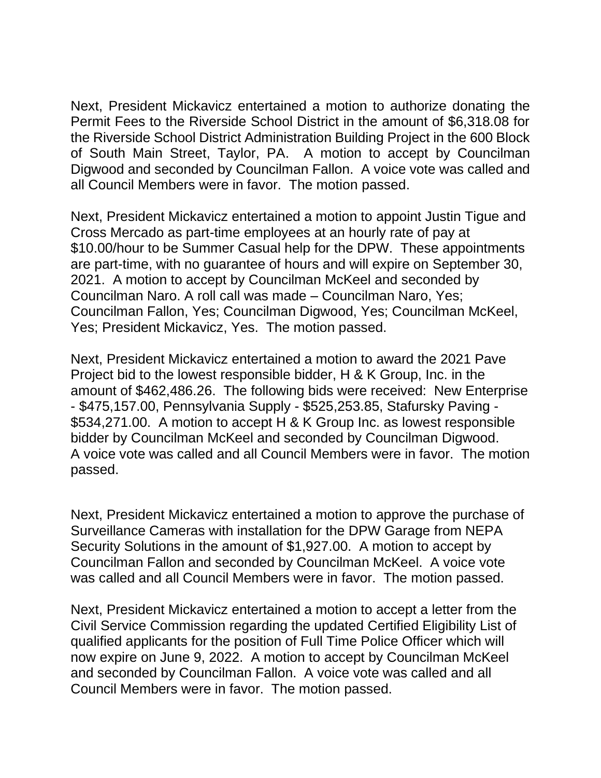Next, President Mickavicz entertained a motion to authorize donating the Permit Fees to the Riverside School District in the amount of \$6,318.08 for the Riverside School District Administration Building Project in the 600 Block of South Main Street, Taylor, PA. A motion to accept by Councilman Digwood and seconded by Councilman Fallon. A voice vote was called and all Council Members were in favor. The motion passed.

Next, President Mickavicz entertained a motion to appoint Justin Tigue and Cross Mercado as part-time employees at an hourly rate of pay at \$10.00/hour to be Summer Casual help for the DPW. These appointments are part-time, with no guarantee of hours and will expire on September 30, 2021. A motion to accept by Councilman McKeel and seconded by Councilman Naro. A roll call was made – Councilman Naro, Yes; Councilman Fallon, Yes; Councilman Digwood, Yes; Councilman McKeel, Yes; President Mickavicz, Yes. The motion passed.

Next, President Mickavicz entertained a motion to award the 2021 Pave Project bid to the lowest responsible bidder, H & K Group, Inc. in the amount of \$462,486.26. The following bids were received: New Enterprise - \$475,157.00, Pennsylvania Supply - \$525,253.85, Stafursky Paving - \$534,271.00. A motion to accept H & K Group Inc. as lowest responsible bidder by Councilman McKeel and seconded by Councilman Digwood. A voice vote was called and all Council Members were in favor. The motion passed.

Next, President Mickavicz entertained a motion to approve the purchase of Surveillance Cameras with installation for the DPW Garage from NEPA Security Solutions in the amount of \$1,927.00. A motion to accept by Councilman Fallon and seconded by Councilman McKeel. A voice vote was called and all Council Members were in favor. The motion passed.

Next, President Mickavicz entertained a motion to accept a letter from the Civil Service Commission regarding the updated Certified Eligibility List of qualified applicants for the position of Full Time Police Officer which will now expire on June 9, 2022. A motion to accept by Councilman McKeel and seconded by Councilman Fallon. A voice vote was called and all Council Members were in favor. The motion passed.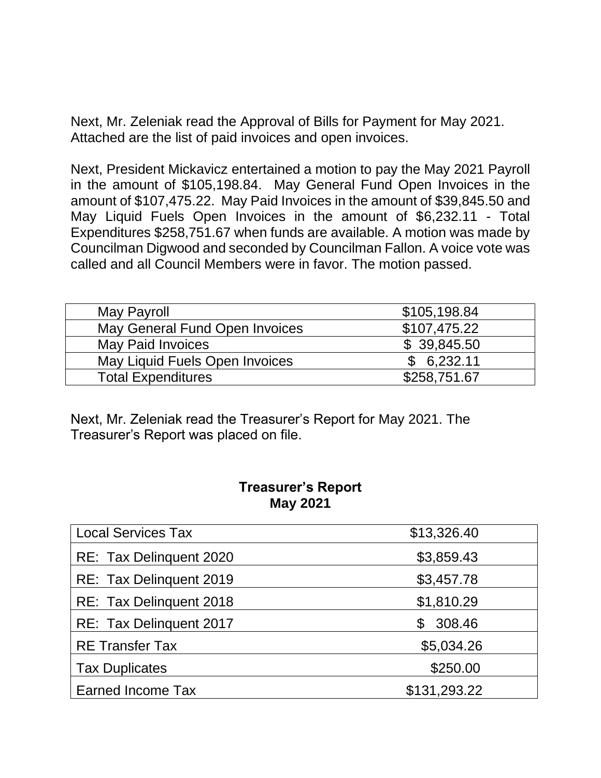Next, Mr. Zeleniak read the Approval of Bills for Payment for May 2021. Attached are the list of paid invoices and open invoices.

Next, President Mickavicz entertained a motion to pay the May 2021 Payroll in the amount of \$105,198.84. May General Fund Open Invoices in the amount of \$107,475.22. May Paid Invoices in the amount of \$39,845.50 and May Liquid Fuels Open Invoices in the amount of \$6,232.11 - Total Expenditures \$258,751.67 when funds are available. A motion was made by Councilman Digwood and seconded by Councilman Fallon. A voice vote was called and all Council Members were in favor. The motion passed.

| May Payroll                    | \$105,198.84 |
|--------------------------------|--------------|
| May General Fund Open Invoices | \$107,475.22 |
| <b>May Paid Invoices</b>       | \$39,845.50  |
| May Liquid Fuels Open Invoices | \$6,232.11   |
| <b>Total Expenditures</b>      | \$258,751.67 |

Next, Mr. Zeleniak read the Treasurer's Report for May 2021. The Treasurer's Report was placed on file.

## **Treasurer's Report May 2021**

| <b>Local Services Tax</b> | \$13,326.40  |
|---------------------------|--------------|
| RE: Tax Delinquent 2020   | \$3,859.43   |
| RE: Tax Delinguent 2019   | \$3,457.78   |
| RE: Tax Delinguent 2018   | \$1,810.29   |
| RE: Tax Delinguent 2017   | 308.46<br>\$ |
| <b>RE Transfer Tax</b>    | \$5,034.26   |
| <b>Tax Duplicates</b>     | \$250.00     |
| <b>Earned Income Tax</b>  | \$131,293.22 |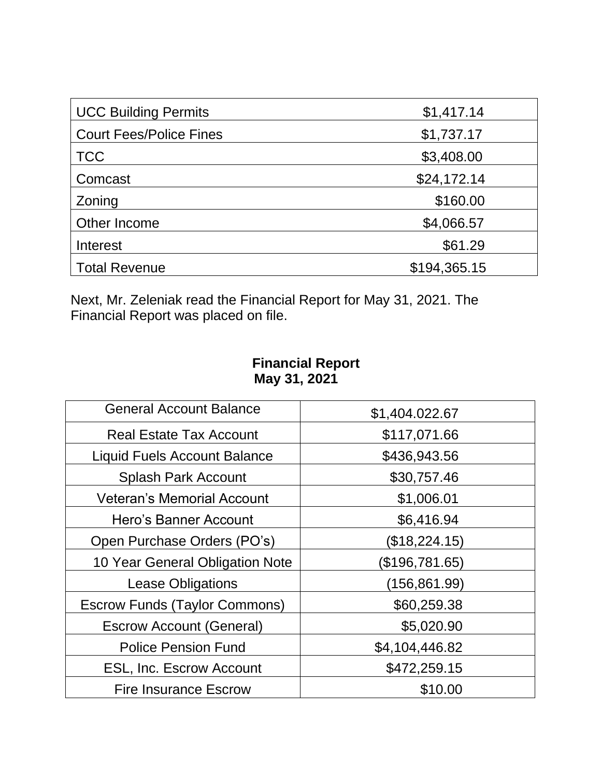| <b>UCC Building Permits</b>    | \$1,417.14   |
|--------------------------------|--------------|
| <b>Court Fees/Police Fines</b> | \$1,737.17   |
| <b>TCC</b>                     | \$3,408.00   |
| Comcast                        | \$24,172.14  |
| Zoning                         | \$160.00     |
| Other Income                   | \$4,066.57   |
| Interest                       | \$61.29      |
| <b>Total Revenue</b>           | \$194,365.15 |

Next, Mr. Zeleniak read the Financial Report for May 31, 2021. The Financial Report was placed on file.

## **Financial Report May 31, 2021**

| <b>General Account Balance</b>       | \$1,404.022.67 |
|--------------------------------------|----------------|
| <b>Real Estate Tax Account</b>       | \$117,071.66   |
| <b>Liquid Fuels Account Balance</b>  | \$436,943.56   |
| <b>Splash Park Account</b>           | \$30,757.46    |
| <b>Veteran's Memorial Account</b>    | \$1,006.01     |
| Hero's Banner Account                | \$6,416.94     |
| Open Purchase Orders (PO's)          | (\$18,224.15)  |
| 10 Year General Obligation Note      | (\$196,781.65) |
| <b>Lease Obligations</b>             | (156,861.99)   |
| <b>Escrow Funds (Taylor Commons)</b> | \$60,259.38    |
| <b>Escrow Account (General)</b>      | \$5,020.90     |
| <b>Police Pension Fund</b>           | \$4,104,446.82 |
| <b>ESL, Inc. Escrow Account</b>      | \$472,259.15   |
| <b>Fire Insurance Escrow</b>         | \$10.00        |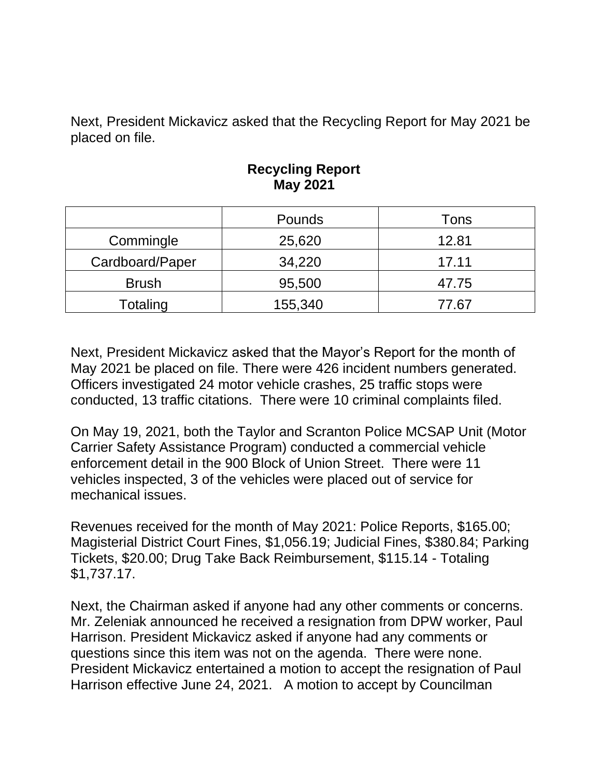Next, President Mickavicz asked that the Recycling Report for May 2021 be placed on file.

|                 | Pounds  | Tons  |
|-----------------|---------|-------|
| Commingle       | 25,620  | 12.81 |
| Cardboard/Paper | 34,220  | 17.11 |
| <b>Brush</b>    | 95,500  | 47.75 |
| Totaling        | 155,340 | 77.67 |

## **Recycling Report May 2021**

Next, President Mickavicz asked that the Mayor's Report for the month of May 2021 be placed on file. There were 426 incident numbers generated. Officers investigated 24 motor vehicle crashes, 25 traffic stops were conducted, 13 traffic citations. There were 10 criminal complaints filed.

On May 19, 2021, both the Taylor and Scranton Police MCSAP Unit (Motor Carrier Safety Assistance Program) conducted a commercial vehicle enforcement detail in the 900 Block of Union Street. There were 11 vehicles inspected, 3 of the vehicles were placed out of service for mechanical issues.

Revenues received for the month of May 2021: Police Reports, \$165.00; Magisterial District Court Fines, \$1,056.19; Judicial Fines, \$380.84; Parking Tickets, \$20.00; Drug Take Back Reimbursement, \$115.14 - Totaling \$1,737.17.

Next, the Chairman asked if anyone had any other comments or concerns. Mr. Zeleniak announced he received a resignation from DPW worker, Paul Harrison. President Mickavicz asked if anyone had any comments or questions since this item was not on the agenda. There were none. President Mickavicz entertained a motion to accept the resignation of Paul Harrison effective June 24, 2021. A motion to accept by Councilman